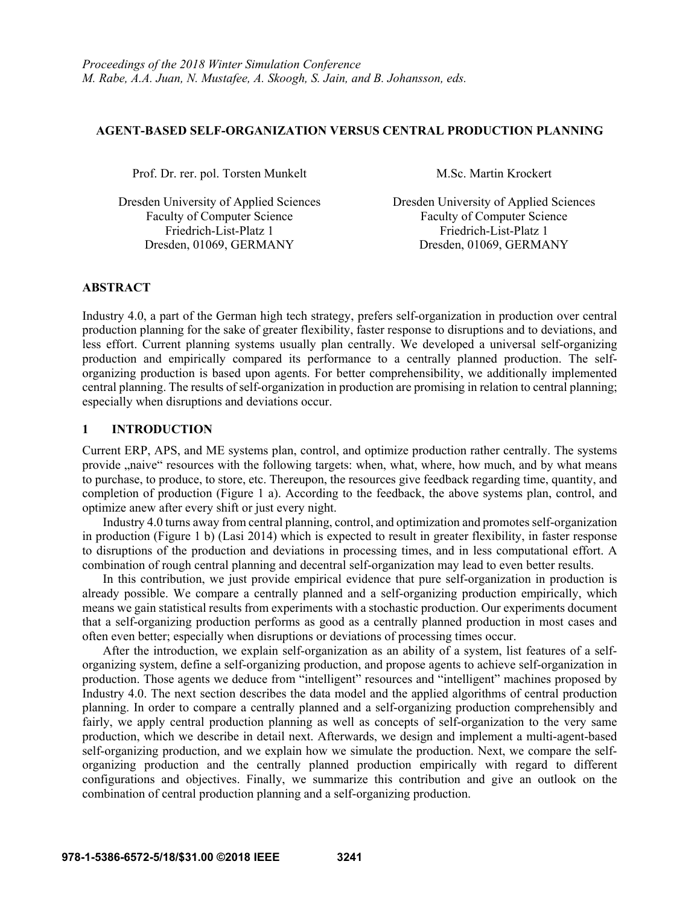### **AGENT-BASED SELF-ORGANIZATION VERSUS CENTRAL PRODUCTION PLANNING**

Prof. Dr. rer. pol. Torsten Munkelt M.Sc. Martin Krockert

Friedrich-List-Platz 1 Friedrich-List-Platz 1 Dresden, 01069, GERMANY Dresden, 01069, GERMANY

Dresden University of Applied Sciences Dresden University of Applied Sciences Faculty of Computer Science<br>
Faculty of Computer Science

# **ABSTRACT**

Industry 4.0, a part of the German high tech strategy, prefers self-organization in production over central production planning for the sake of greater flexibility, faster response to disruptions and to deviations, and less effort. Current planning systems usually plan centrally. We developed a universal self-organizing production and empirically compared its performance to a centrally planned production. The selforganizing production is based upon agents. For better comprehensibility, we additionally implemented central planning. The results of self-organization in production are promising in relation to central planning; especially when disruptions and deviations occur.

# **1 INTRODUCTION**

Current ERP, APS, and ME systems plan, control, and optimize production rather centrally. The systems provide "naive" resources with the following targets: when, what, where, how much, and by what means to purchase, to produce, to store, etc. Thereupon, the resources give feedback regarding time, quantity, and completion of production (Figure 1 a). According to the feedback, the above systems plan, control, and optimize anew after every shift or just every night.

Industry 4.0 turns away from central planning, control, and optimization and promotes self-organization in production (Figure 1 b) (Lasi 2014) which is expected to result in greater flexibility, in faster response to disruptions of the production and deviations in processing times, and in less computational effort. A combination of rough central planning and decentral self-organization may lead to even better results.

In this contribution, we just provide empirical evidence that pure self-organization in production is already possible. We compare a centrally planned and a self-organizing production empirically, which means we gain statistical results from experiments with a stochastic production. Our experiments document that a self-organizing production performs as good as a centrally planned production in most cases and often even better; especially when disruptions or deviations of processing times occur.

After the introduction, we explain self-organization as an ability of a system, list features of a selforganizing system, define a self-organizing production, and propose agents to achieve self-organization in production. Those agents we deduce from "intelligent" resources and "intelligent" machines proposed by Industry 4.0. The next section describes the data model and the applied algorithms of central production planning. In order to compare a centrally planned and a self-organizing production comprehensibly and fairly, we apply central production planning as well as concepts of self-organization to the very same production, which we describe in detail next. Afterwards, we design and implement a multi-agent-based self-organizing production, and we explain how we simulate the production. Next, we compare the selforganizing production and the centrally planned production empirically with regard to different configurations and objectives. Finally, we summarize this contribution and give an outlook on the combination of central production planning and a self-organizing production.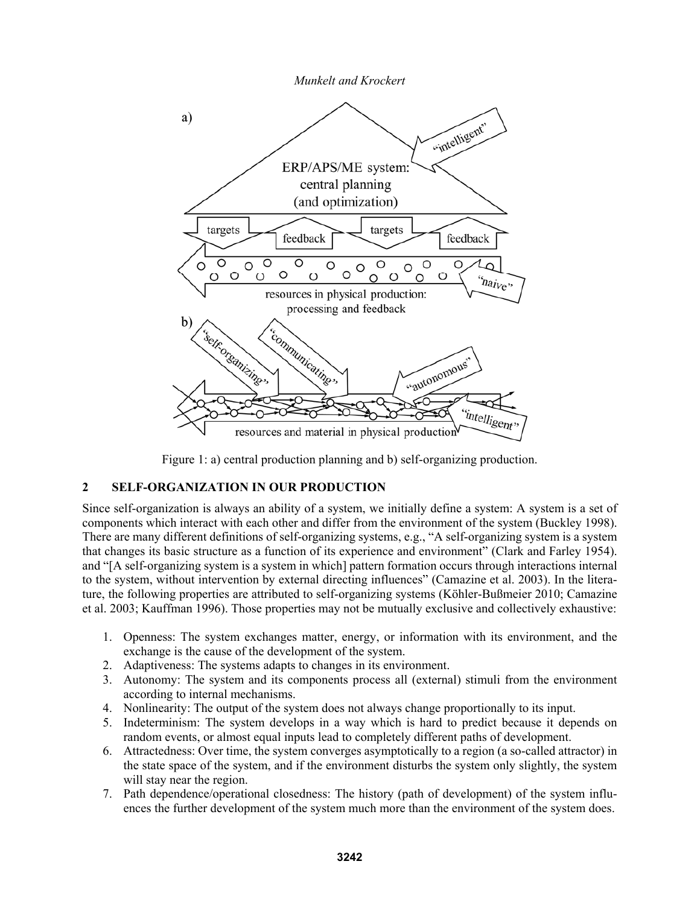



Figure 1: a) central production planning and b) self-organizing production.

# **2 SELF-ORGANIZATION IN OUR PRODUCTION**

Since self-organization is always an ability of a system, we initially define a system: A system is a set of components which interact with each other and differ from the environment of the system (Buckley 1998). There are many different definitions of self-organizing systems, e.g., "A self-organizing system is a system that changes its basic structure as a function of its experience and environment" (Clark and Farley 1954). and "[A self-organizing system is a system in which] pattern formation occurs through interactions internal to the system, without intervention by external directing influences" (Camazine et al. 2003). In the literature, the following properties are attributed to self-organizing systems (Köhler-Bußmeier 2010; Camazine et al. 2003; Kauffman 1996). Those properties may not be mutually exclusive and collectively exhaustive:

- 1. Openness: The system exchanges matter, energy, or information with its environment, and the exchange is the cause of the development of the system.
- 2. Adaptiveness: The systems adapts to changes in its environment.
- 3. Autonomy: The system and its components process all (external) stimuli from the environment according to internal mechanisms.
- 4. Nonlinearity: The output of the system does not always change proportionally to its input.
- 5. Indeterminism: The system develops in a way which is hard to predict because it depends on random events, or almost equal inputs lead to completely different paths of development.
- 6. Attractedness: Over time, the system converges asymptotically to a region (a so-called attractor) in the state space of the system, and if the environment disturbs the system only slightly, the system will stay near the region.
- 7. Path dependence/operational closedness: The history (path of development) of the system influences the further development of the system much more than the environment of the system does.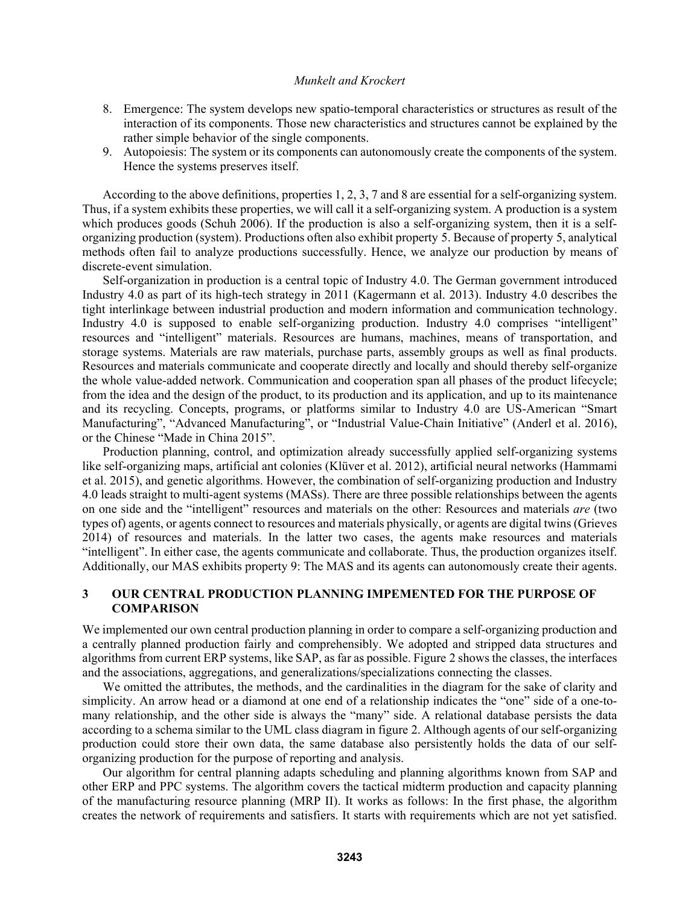- 8. Emergence: The system develops new spatio-temporal characteristics or structures as result of the interaction of its components. Those new characteristics and structures cannot be explained by the rather simple behavior of the single components.
- 9. Autopoiesis: The system or its components can autonomously create the components of the system. Hence the systems preserves itself.

According to the above definitions, properties 1, 2, 3, 7 and 8 are essential for a self-organizing system. Thus, if a system exhibits these properties, we will call it a self-organizing system. A production is a system which produces goods (Schuh 2006). If the production is also a self-organizing system, then it is a selforganizing production (system). Productions often also exhibit property 5. Because of property 5, analytical methods often fail to analyze productions successfully. Hence, we analyze our production by means of discrete-event simulation.

Self-organization in production is a central topic of Industry 4.0. The German government introduced Industry 4.0 as part of its high-tech strategy in 2011 (Kagermann et al. 2013). Industry 4.0 describes the tight interlinkage between industrial production and modern information and communication technology. Industry 4.0 is supposed to enable self-organizing production. Industry 4.0 comprises "intelligent" resources and "intelligent" materials. Resources are humans, machines, means of transportation, and storage systems. Materials are raw materials, purchase parts, assembly groups as well as final products. Resources and materials communicate and cooperate directly and locally and should thereby self-organize the whole value-added network. Communication and cooperation span all phases of the product lifecycle; from the idea and the design of the product, to its production and its application, and up to its maintenance and its recycling. Concepts, programs, or platforms similar to Industry 4.0 are US-American "Smart Manufacturing", "Advanced Manufacturing", or "Industrial Value-Chain Initiative" (Anderl et al. 2016), or the Chinese "Made in China 2015".

Production planning, control, and optimization already successfully applied self-organizing systems like self-organizing maps, artificial ant colonies (Klüver et al. 2012), artificial neural networks (Hammami et al. 2015), and genetic algorithms. However, the combination of self-organizing production and Industry 4.0 leads straight to multi-agent systems (MASs). There are three possible relationships between the agents on one side and the "intelligent" resources and materials on the other: Resources and materials *are* (two types of) agents, or agents connect to resources and materials physically, or agents are digital twins (Grieves 2014) of resources and materials. In the latter two cases, the agents make resources and materials "intelligent". In either case, the agents communicate and collaborate. Thus, the production organizes itself. Additionally, our MAS exhibits property 9: The MAS and its agents can autonomously create their agents.

# **3 OUR CENTRAL PRODUCTION PLANNING IMPEMENTED FOR THE PURPOSE OF COMPARISON**

We implemented our own central production planning in order to compare a self-organizing production and a centrally planned production fairly and comprehensibly. We adopted and stripped data structures and algorithms from current ERP systems, like SAP, as far as possible. Figure 2 shows the classes, the interfaces and the associations, aggregations, and generalizations/specializations connecting the classes.

We omitted the attributes, the methods, and the cardinalities in the diagram for the sake of clarity and simplicity. An arrow head or a diamond at one end of a relationship indicates the "one" side of a one-tomany relationship, and the other side is always the "many" side. A relational database persists the data according to a schema similar to the UML class diagram in figure 2. Although agents of our self-organizing production could store their own data, the same database also persistently holds the data of our selforganizing production for the purpose of reporting and analysis.

Our algorithm for central planning adapts scheduling and planning algorithms known from SAP and other ERP and PPC systems. The algorithm covers the tactical midterm production and capacity planning of the manufacturing resource planning (MRP II). It works as follows: In the first phase, the algorithm creates the network of requirements and satisfiers. It starts with requirements which are not yet satisfied.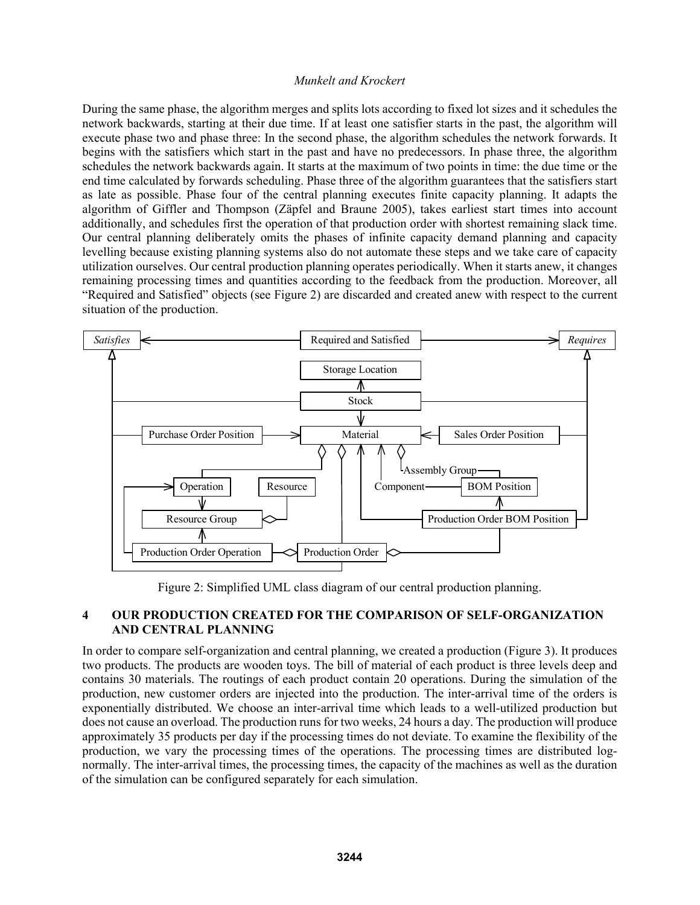During the same phase, the algorithm merges and splits lots according to fixed lot sizes and it schedules the network backwards, starting at their due time. If at least one satisfier starts in the past, the algorithm will execute phase two and phase three: In the second phase, the algorithm schedules the network forwards. It begins with the satisfiers which start in the past and have no predecessors. In phase three, the algorithm schedules the network backwards again. It starts at the maximum of two points in time: the due time or the end time calculated by forwards scheduling. Phase three of the algorithm guarantees that the satisfiers start as late as possible. Phase four of the central planning executes finite capacity planning. It adapts the algorithm of Giffler and Thompson (Zäpfel and Braune 2005), takes earliest start times into account additionally, and schedules first the operation of that production order with shortest remaining slack time. Our central planning deliberately omits the phases of infinite capacity demand planning and capacity levelling because existing planning systems also do not automate these steps and we take care of capacity utilization ourselves. Our central production planning operates periodically. When it starts anew, it changes remaining processing times and quantities according to the feedback from the production. Moreover, all "Required and Satisfied" objects (see Figure 2) are discarded and created anew with respect to the current situation of the production.



Figure 2: Simplified UML class diagram of our central production planning.

# **4 OUR PRODUCTION CREATED FOR THE COMPARISON OF SELF-ORGANIZATION AND CENTRAL PLANNING**

In order to compare self-organization and central planning, we created a production (Figure 3). It produces two products. The products are wooden toys. The bill of material of each product is three levels deep and contains 30 materials. The routings of each product contain 20 operations. During the simulation of the production, new customer orders are injected into the production. The inter-arrival time of the orders is exponentially distributed. We choose an inter-arrival time which leads to a well-utilized production but does not cause an overload. The production runs for two weeks, 24 hours a day. The production will produce approximately 35 products per day if the processing times do not deviate. To examine the flexibility of the production, we vary the processing times of the operations. The processing times are distributed lognormally. The inter-arrival times, the processing times, the capacity of the machines as well as the duration of the simulation can be configured separately for each simulation.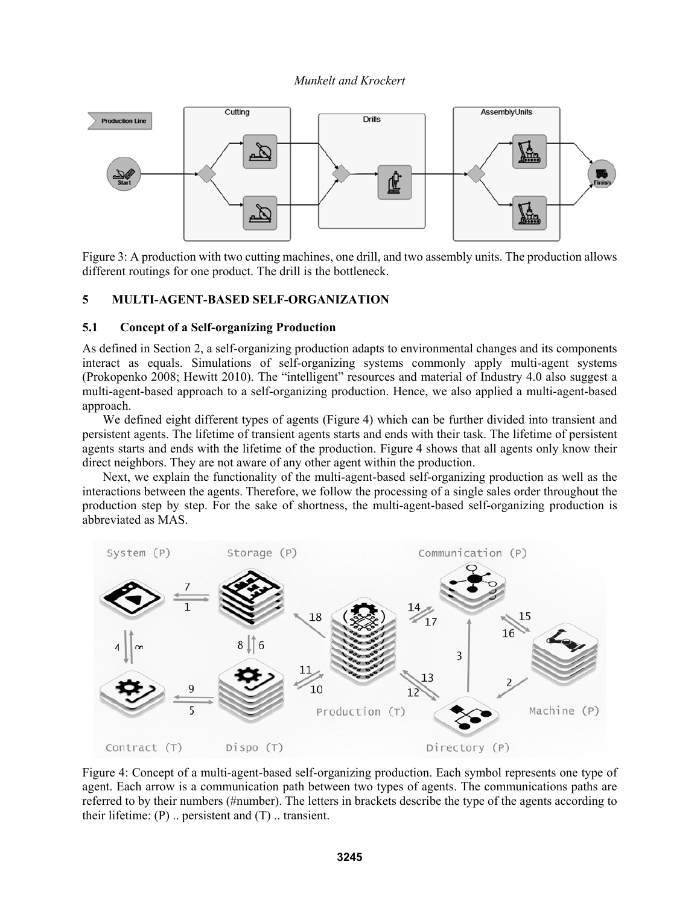

Figure 3: A production with two cutting machines, one drill, and two assembly units. The production allows different routings for one product. The drill is the bottleneck.

#### **5 MULTI-AGENT-BASED SELF-ORGANIZATION**

### **5.1 Concept of a Self-organizing Production**

As defined in Section 2, a self-organizing production adapts to environmental changes and its components interact as equals. Simulations of self-organizing systems commonly apply multi-agent systems (Prokopenko 2008; Hewitt 2010). The "intelligent" resources and material of Industry 4.0 also suggest a multi-agent-based approach to a self-organizing production. Hence, we also applied a multi-agent-based approach.

We defined eight different types of agents (Figure 4) which can be further divided into transient and persistent agents. The lifetime of transient agents starts and ends with their task. The lifetime of persistent agents starts and ends with the lifetime of the production. Figure 4 shows that all agents only know their direct neighbors. They are not aware of any other agent within the production.

Next, we explain the functionality of the multi-agent-based self-organizing production as well as the interactions between the agents. Therefore, we follow the processing of a single sales order throughout the production step by step. For the sake of shortness, the multi-agent-based self-organizing production is abbreviated as MAS.



Figure 4: Concept of a multi-agent-based self-organizing production. Each symbol represents one type of agent. Each arrow is a communication path between two types of agents. The communications paths are referred to by their numbers (#number). The letters in brackets describe the type of the agents according to their lifetime:  $(P)$  .. persistent and  $(T)$  .. transient.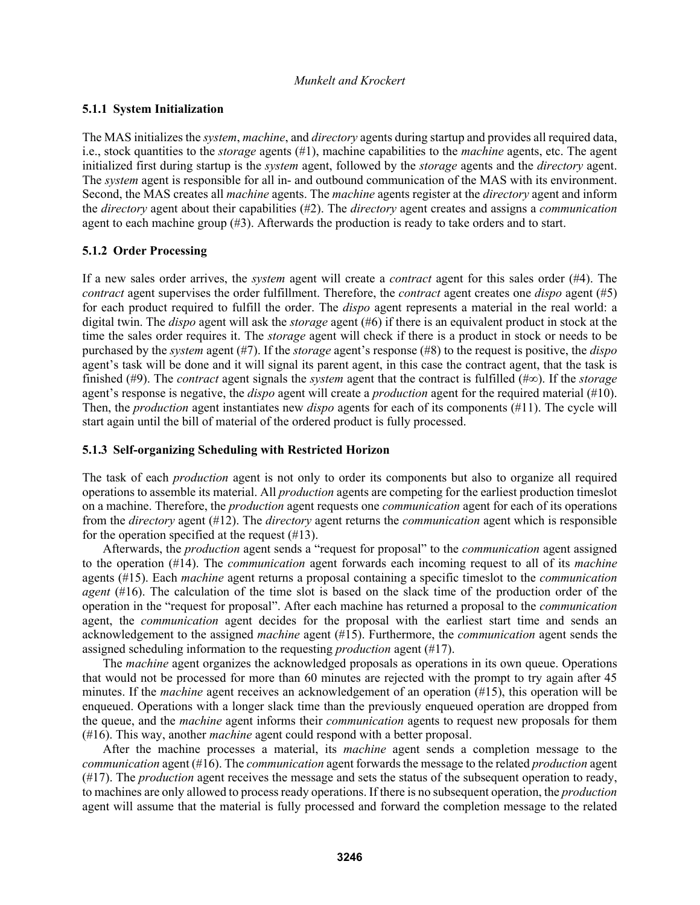# **5.1.1 System Initialization**

The MAS initializes the *system*, *machine*, and *directory* agents during startup and provides all required data, i.e., stock quantities to the *storage* agents (#1), machine capabilities to the *machine* agents, etc. The agent initialized first during startup is the *system* agent, followed by the *storage* agents and the *directory* agent. The *system* agent is responsible for all in- and outbound communication of the MAS with its environment. Second, the MAS creates all *machine* agents. The *machine* agents register at the *directory* agent and inform the *directory* agent about their capabilities (#2). The *directory* agent creates and assigns a *communication* agent to each machine group (#3). Afterwards the production is ready to take orders and to start.

# **5.1.2 Order Processing**

If a new sales order arrives, the *system* agent will create a *contract* agent for this sales order (#4). The *contract* agent supervises the order fulfillment. Therefore, the *contract* agent creates one *dispo* agent (#5) for each product required to fulfill the order. The *dispo* agent represents a material in the real world: a digital twin. The *dispo* agent will ask the *storage* agent (#6) if there is an equivalent product in stock at the time the sales order requires it. The *storage* agent will check if there is a product in stock or needs to be purchased by the *system* agent (#7). If the *storage* agent's response (#8) to the request is positive, the *dispo* agent's task will be done and it will signal its parent agent, in this case the contract agent, that the task is finished (#9). The *contract* agent signals the *system* agent that the contract is fulfilled (#∞). If the *storage* agent's response is negative, the *dispo* agent will create a *production* agent for the required material (#10). Then, the *production* agent instantiates new *dispo* agents for each of its components (#11). The cycle will start again until the bill of material of the ordered product is fully processed.

# **5.1.3 Self-organizing Scheduling with Restricted Horizon**

The task of each *production* agent is not only to order its components but also to organize all required operations to assemble its material. All *production* agents are competing for the earliest production timeslot on a machine. Therefore, the *production* agent requests one *communication* agent for each of its operations from the *directory* agent (#12). The *directory* agent returns the *communication* agent which is responsible for the operation specified at the request (#13).

Afterwards, the *production* agent sends a "request for proposal" to the *communication* agent assigned to the operation (#14). The *communication* agent forwards each incoming request to all of its *machine* agents (#15). Each *machine* agent returns a proposal containing a specific timeslot to the *communication agent* (#16). The calculation of the time slot is based on the slack time of the production order of the operation in the "request for proposal". After each machine has returned a proposal to the *communication* agent, the *communication* agent decides for the proposal with the earliest start time and sends an acknowledgement to the assigned *machine* agent (#15). Furthermore, the *communication* agent sends the assigned scheduling information to the requesting *production* agent (#17).

The *machine* agent organizes the acknowledged proposals as operations in its own queue. Operations that would not be processed for more than 60 minutes are rejected with the prompt to try again after 45 minutes. If the *machine* agent receives an acknowledgement of an operation (#15), this operation will be enqueued. Operations with a longer slack time than the previously enqueued operation are dropped from the queue, and the *machine* agent informs their *communication* agents to request new proposals for them (#16). This way, another *machine* agent could respond with a better proposal.

After the machine processes a material, its *machine* agent sends a completion message to the *communication* agent (#16). The *communication* agent forwards the message to the related *production* agent (#17). The *production* agent receives the message and sets the status of the subsequent operation to ready, to machines are only allowed to process ready operations. If there is no subsequent operation, the *production* agent will assume that the material is fully processed and forward the completion message to the related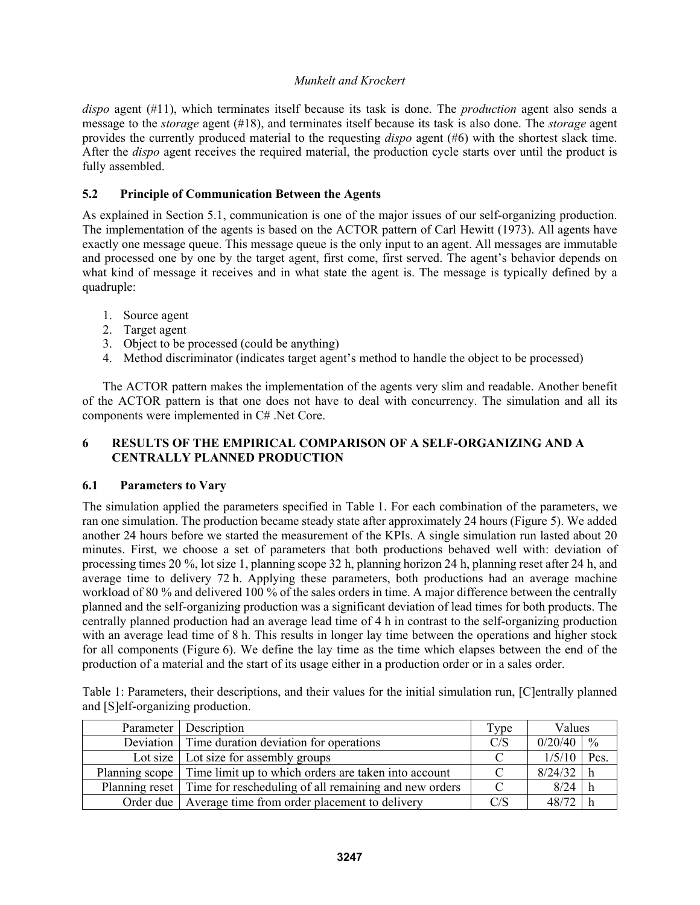*dispo* agent (#11), which terminates itself because its task is done. The *production* agent also sends a message to the *storage* agent (#18), and terminates itself because its task is also done. The *storage* agent provides the currently produced material to the requesting *dispo* agent (#6) with the shortest slack time. After the *dispo* agent receives the required material, the production cycle starts over until the product is fully assembled.

# **5.2 Principle of Communication Between the Agents**

As explained in Section 5.1, communication is one of the major issues of our self-organizing production. The implementation of the agents is based on the ACTOR pattern of Carl Hewitt (1973). All agents have exactly one message queue. This message queue is the only input to an agent. All messages are immutable and processed one by one by the target agent, first come, first served. The agent's behavior depends on what kind of message it receives and in what state the agent is. The message is typically defined by a quadruple:

- 1. Source agent
- 2. Target agent
- 3. Object to be processed (could be anything)
- 4. Method discriminator (indicates target agent's method to handle the object to be processed)

The ACTOR pattern makes the implementation of the agents very slim and readable. Another benefit of the ACTOR pattern is that one does not have to deal with concurrency. The simulation and all its components were implemented in C# .Net Core.

# **6 RESULTS OF THE EMPIRICAL COMPARISON OF A SELF-ORGANIZING AND A CENTRALLY PLANNED PRODUCTION**

# **6.1 Parameters to Vary**

The simulation applied the parameters specified in Table 1. For each combination of the parameters, we ran one simulation. The production became steady state after approximately 24 hours (Figure 5). We added another 24 hours before we started the measurement of the KPIs. A single simulation run lasted about 20 minutes. First, we choose a set of parameters that both productions behaved well with: deviation of processing times 20 %, lot size 1, planning scope 32 h, planning horizon 24 h, planning reset after 24 h, and average time to delivery 72 h. Applying these parameters, both productions had an average machine workload of 80 % and delivered 100 % of the sales orders in time. A major difference between the centrally planned and the self-organizing production was a significant deviation of lead times for both products. The centrally planned production had an average lead time of 4 h in contrast to the self-organizing production with an average lead time of 8 h. This results in longer lay time between the operations and higher stock for all components (Figure 6). We define the lay time as the time which elapses between the end of the production of a material and the start of its usage either in a production order or in a sales order.

Table 1: Parameters, their descriptions, and their values for the initial simulation run, [C]entrally planned and [S]elf-organizing production.

| Parameter   Description                                                | Type | Values      |               |
|------------------------------------------------------------------------|------|-------------|---------------|
| Deviation   Time duration deviation for operations                     | C/S  | 0/20/40     | $\frac{0}{0}$ |
| Lot size $\vert$ Lot size for assembly groups                          |      | 1/5/10      | Pcs.          |
| Planning scope Time limit up to which orders are taken into account    |      | $8/24/32$ h |               |
| Planning reset   Time for rescheduling of all remaining and new orders |      | $8/24$ h    |               |
| Order due   Average time from order placement to delivery              | C/S  | 48/72       |               |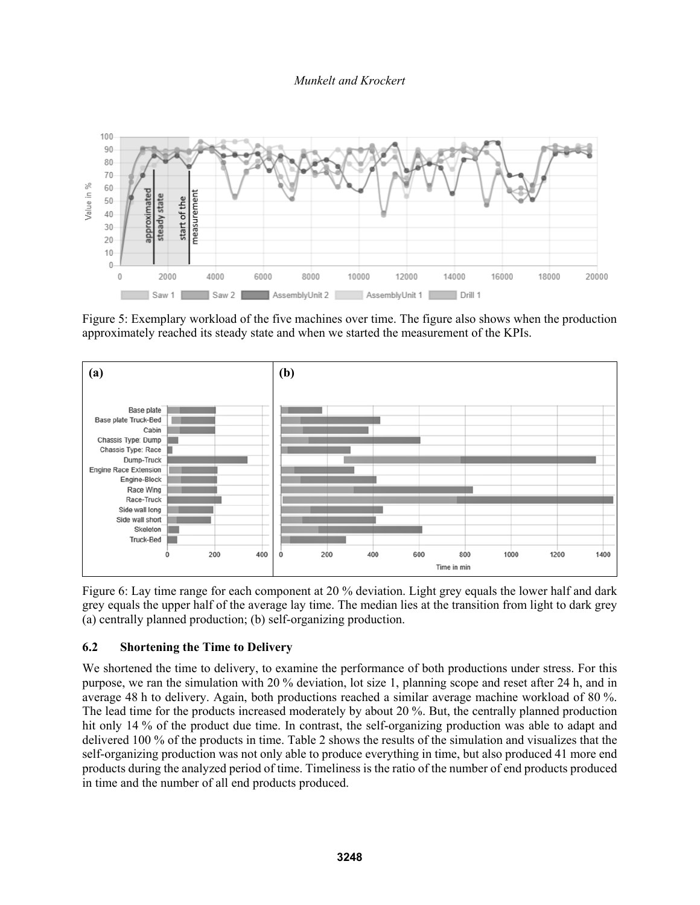

Figure 5: Exemplary workload of the five machines over time. The figure also shows when the production approximately reached its steady state and when we started the measurement of the KPIs.



Figure 6: Lay time range for each component at 20 % deviation. Light grey equals the lower half and dark grey equals the upper half of the average lay time. The median lies at the transition from light to dark grey (a) centrally planned production; (b) self-organizing production.

# **6.2 Shortening the Time to Delivery**

We shortened the time to delivery, to examine the performance of both productions under stress. For this purpose, we ran the simulation with 20 % deviation, lot size 1, planning scope and reset after 24 h, and in average 48 h to delivery. Again, both productions reached a similar average machine workload of 80 %. The lead time for the products increased moderately by about 20 %. But, the centrally planned production hit only 14 % of the product due time. In contrast, the self-organizing production was able to adapt and delivered 100 % of the products in time. Table 2 shows the results of the simulation and visualizes that the self-organizing production was not only able to produce everything in time, but also produced 41 more end products during the analyzed period of time. Timeliness is the ratio of the number of end products produced in time and the number of all end products produced.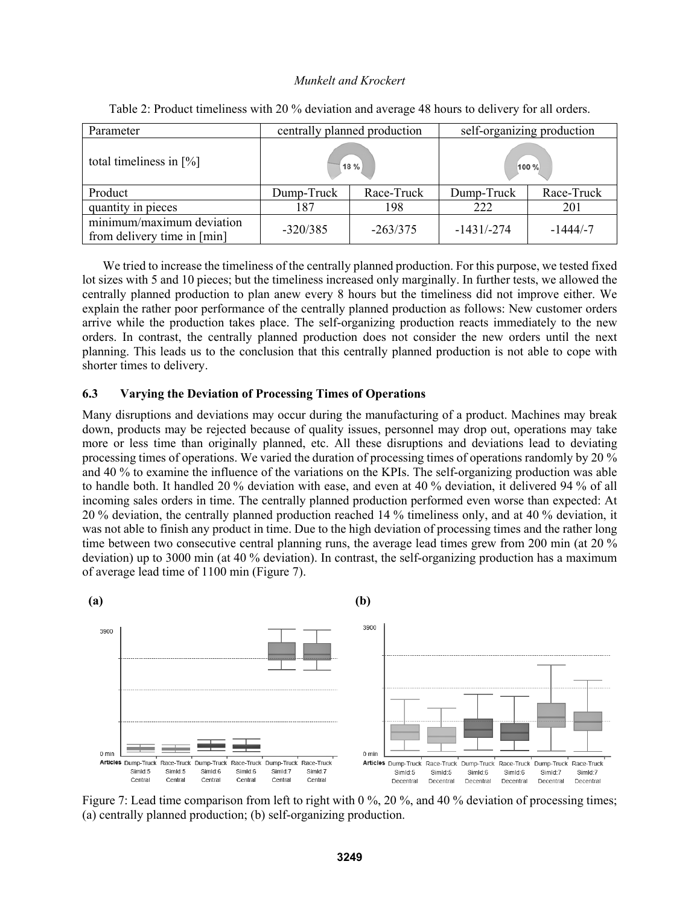| Parameter                                                | centrally planned production |            | self-organizing production |            |  |
|----------------------------------------------------------|------------------------------|------------|----------------------------|------------|--|
| total timeliness in $[\%]$                               | 18 %                         |            | 100 %                      |            |  |
| Product                                                  | Dump-Truck                   | Race-Truck | Dump-Truck                 | Race-Truck |  |
| quantity in pieces                                       | 187                          | 198        | 222                        | 201        |  |
| minimum/maximum deviation<br>from delivery time in [min] | $-320/385$                   | $-263/375$ | $-1431/-274$               | $-1444/-7$ |  |

Table 2: Product timeliness with 20 % deviation and average 48 hours to delivery for all orders.

We tried to increase the timeliness of the centrally planned production. For this purpose, we tested fixed lot sizes with 5 and 10 pieces; but the timeliness increased only marginally. In further tests, we allowed the centrally planned production to plan anew every 8 hours but the timeliness did not improve either. We explain the rather poor performance of the centrally planned production as follows: New customer orders arrive while the production takes place. The self-organizing production reacts immediately to the new orders. In contrast, the centrally planned production does not consider the new orders until the next planning. This leads us to the conclusion that this centrally planned production is not able to cope with shorter times to delivery.

### **6.3 Varying the Deviation of Processing Times of Operations**

Many disruptions and deviations may occur during the manufacturing of a product. Machines may break down, products may be rejected because of quality issues, personnel may drop out, operations may take more or less time than originally planned, etc. All these disruptions and deviations lead to deviating processing times of operations. We varied the duration of processing times of operations randomly by 20 % and 40 % to examine the influence of the variations on the KPIs. The self-organizing production was able to handle both. It handled 20 % deviation with ease, and even at 40 % deviation, it delivered 94 % of all incoming sales orders in time. The centrally planned production performed even worse than expected: At 20 % deviation, the centrally planned production reached 14 % timeliness only, and at 40 % deviation, it was not able to finish any product in time. Due to the high deviation of processing times and the rather long time between two consecutive central planning runs, the average lead times grew from 200 min (at 20 % deviation) up to 3000 min (at 40 % deviation). In contrast, the self-organizing production has a maximum of average lead time of 1100 min (Figure 7).



Figure 7: Lead time comparison from left to right with 0 %, 20 %, and 40 % deviation of processing times; (a) centrally planned production; (b) self-organizing production.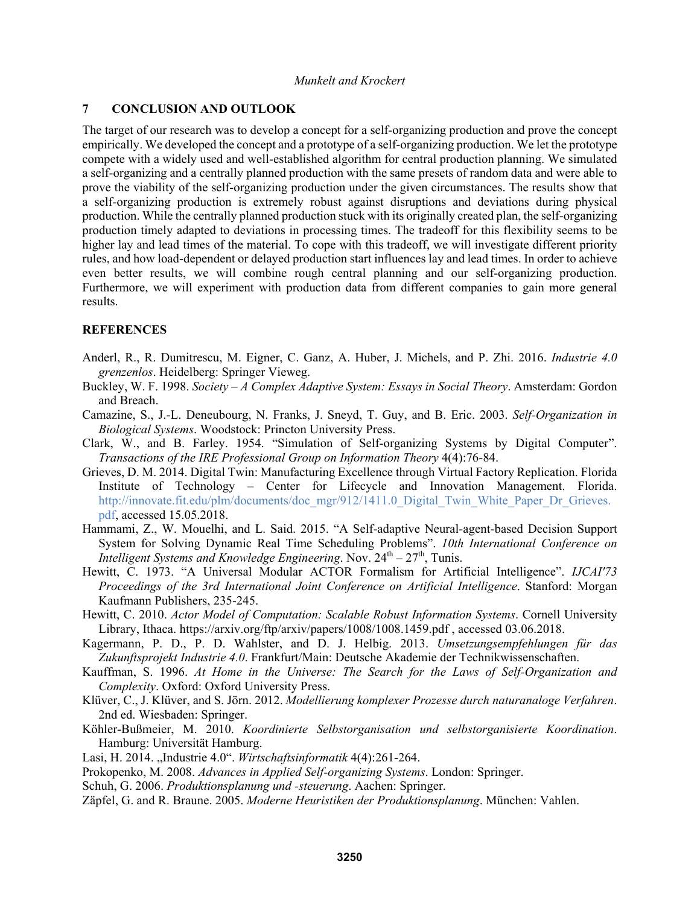# **7 CONCLUSION AND OUTLOOK**

The target of our research was to develop a concept for a self-organizing production and prove the concept empirically. We developed the concept and a prototype of a self-organizing production. We let the prototype compete with a widely used and well-established algorithm for central production planning. We simulated a self-organizing and a centrally planned production with the same presets of random data and were able to prove the viability of the self-organizing production under the given circumstances. The results show that a self-organizing production is extremely robust against disruptions and deviations during physical production. While the centrally planned production stuck with its originally created plan, the self-organizing production timely adapted to deviations in processing times. The tradeoff for this flexibility seems to be higher lay and lead times of the material. To cope with this tradeoff, we will investigate different priority rules, and how load-dependent or delayed production start influences lay and lead times. In order to achieve even better results, we will combine rough central planning and our self-organizing production. Furthermore, we will experiment with production data from different companies to gain more general results.

### **REFERENCES**

- Anderl, R., R. Dumitrescu, M. Eigner, C. Ganz, A. Huber, J. Michels, and P. Zhi. 2016. *Industrie 4.0 grenzenlos*. Heidelberg: Springer Vieweg.
- Buckley, W. F. 1998. *Society A Complex Adaptive System: Essays in Social Theory*. Amsterdam: Gordon and Breach.
- Camazine, S., J.-L. Deneubourg, N. Franks, J. Sneyd, T. Guy, and B. Eric. 2003. *Self-Organization in Biological Systems*. Woodstock: Princton University Press.
- Clark, W., and B. Farley. 1954. "Simulation of Self-organizing Systems by Digital Computer". *Transactions of the IRE Professional Group on Information Theory* 4(4):76-84.
- Grieves, D. M. 2014. Digital Twin: Manufacturing Excellence through Virtual Factory Replication. Florida Institute of Technology – Center for Lifecycle and Innovation Management. Florida. http://innovate.fit.edu/plm/documents/doc\_mgr/912/1411.0\_Digital\_Twin\_White\_Paper\_Dr\_Grieves. pdf, accessed 15.05.2018.
- Hammami, Z., W. Mouelhi, and L. Said. 2015. "A Self-adaptive Neural-agent-based Decision Support System for Solving Dynamic Real Time Scheduling Problems". *10th International Conference on Intelligent Systems and Knowledge Engineering.* Nov. 24<sup>th</sup> – 27<sup>th</sup>, Tunis.
- Hewitt, C. 1973. "A Universal Modular ACTOR Formalism for Artificial Intelligence". *IJCAI'73 Proceedings of the 3rd International Joint Conference on Artificial Intelligence*. Stanford: Morgan Kaufmann Publishers, 235-245.
- Hewitt, C. 2010. *Actor Model of Computation: Scalable Robust Information Systems*. Cornell University Library, Ithaca. https://arxiv.org/ftp/arxiv/papers/1008/1008.1459.pdf , accessed 03.06.2018.
- Kagermann, P. D., P. D. Wahlster, and D. J. Helbig. 2013. *Umsetzungsempfehlungen für das Zukunftsprojekt Industrie 4.0*. Frankfurt/Main: Deutsche Akademie der Technikwissenschaften.
- Kauffman, S. 1996. *At Home in the Universe: The Search for the Laws of Self-Organization and Complexity*. Oxford: Oxford University Press.
- Klüver, C., J. Klüver, and S. Jörn. 2012. *Modellierung komplexer Prozesse durch naturanaloge Verfahren*. 2nd ed. Wiesbaden: Springer.
- Köhler-Bußmeier, M. 2010. *Koordinierte Selbstorganisation und selbstorganisierte Koordination*. Hamburg: Universität Hamburg.
- Lasi, H. 2014. "Industrie 4.0". *Wirtschaftsinformatik* 4(4):261-264.
- Prokopenko, M. 2008. *Advances in Applied Self-organizing Systems*. London: Springer.
- Schuh, G. 2006. *Produktionsplanung und -steuerung*. Aachen: Springer.
- Zäpfel, G. and R. Braune. 2005. *Moderne Heuristiken der Produktionsplanung*. München: Vahlen.